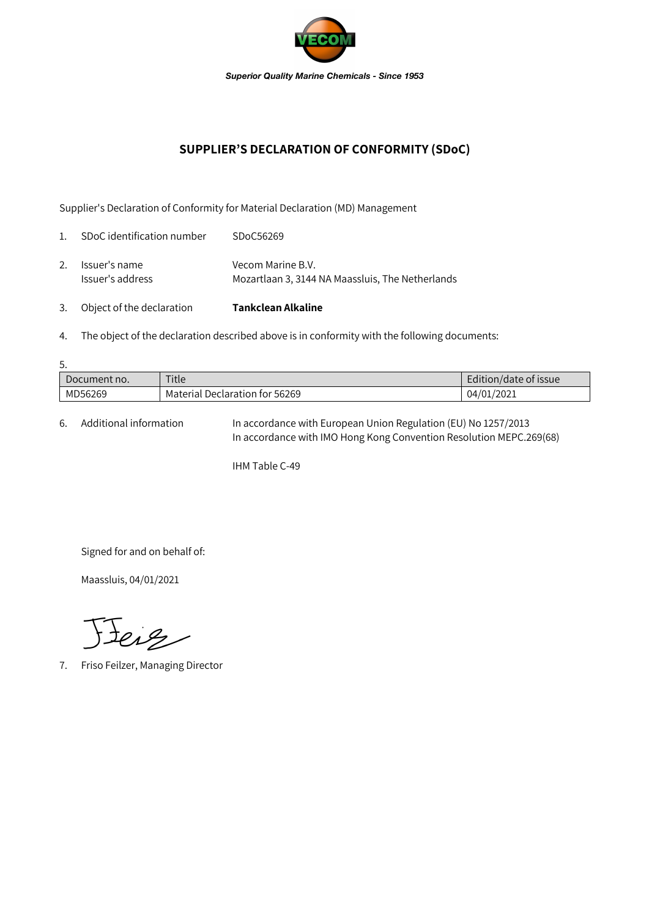

## **SUPPLIER'S DECLARATION OF CONFORMITY (SDoC)**

Supplier's Declaration of Conformity for Material Declaration (MD) Management

| 3.             | Object of the declaration         | Tankclean Alkaline                                                    |
|----------------|-----------------------------------|-----------------------------------------------------------------------|
| 2.             | Issuer's name<br>Issuer's address | Vecom Marine B.V.<br>Mozartlaan 3, 3144 NA Maassluis, The Netherlands |
| $\mathbf{1}$ . | SDoC identification number        | SDoC56269                                                             |

4. The object of the declaration described above is in conformity with the following documents:

| 5.           |                                |                       |  |  |  |  |
|--------------|--------------------------------|-----------------------|--|--|--|--|
| Document no. | Title                          | Edition/date of issue |  |  |  |  |
| MD56269      | Material Declaration for 56269 | 04/01/2021            |  |  |  |  |

6. Additional information In accordance with European Union Regulation (EU) No 1257/2013 In accordance with IMO Hong Kong Convention Resolution MEPC.269(68)

IHM Table C-49

Signed for and on behalf of:

Maassluis, 04/01/2021

Jeiz

7. Friso Feilzer, Managing Director